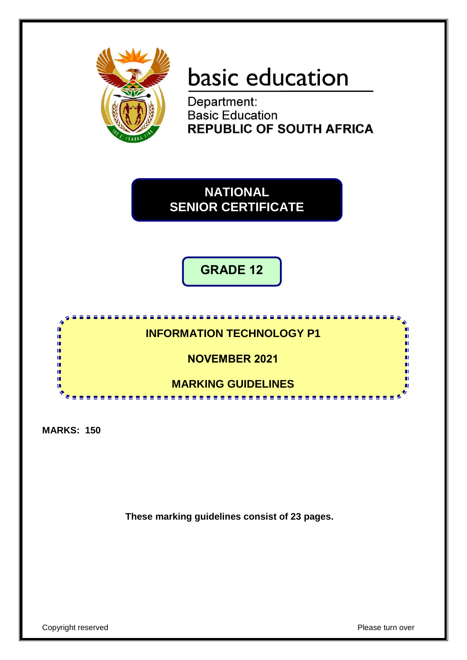

# basic education

Department: **Basic Education REPUBLIC OF SOUTH AFRICA** 

**NATIONAL SENIOR CERTIFICATE**

**GRADE 12**



**MARKS: 150**

**These marking guidelines consist of 23 pages.**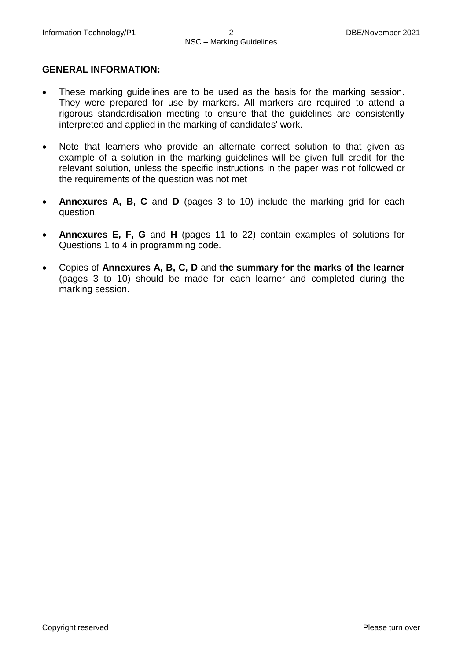#### **GENERAL INFORMATION:**

- These marking guidelines are to be used as the basis for the marking session. They were prepared for use by markers. All markers are required to attend a rigorous standardisation meeting to ensure that the guidelines are consistently interpreted and applied in the marking of candidates' work.
- Note that learners who provide an alternate correct solution to that given as example of a solution in the marking guidelines will be given full credit for the relevant solution, unless the specific instructions in the paper was not followed or the requirements of the question was not met
- **Annexures A, B, C** and **D** (pages 3 to 10) include the marking grid for each question.
- **Annexures E, F, G** and **H** (pages 11 to 22) contain examples of solutions for Questions 1 to 4 in programming code.
- Copies of **Annexures A, B, C, D** and **the summary for the marks of the learner** (pages 3 to 10) should be made for each learner and completed during the marking session.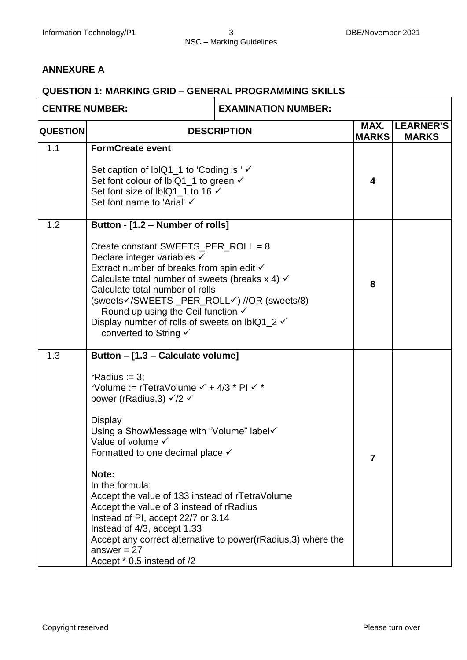#### **ANNEXURE A**

#### **QUESTION 1: MARKING GRID – GENERAL PROGRAMMING SKILLS**

| <b>CENTRE NUMBER:</b> |                                                                                                                                                                                                                                                                                                                                                                                                                                                                                                                                | <b>EXAMINATION NUMBER:</b>                                    |   |                                                  |
|-----------------------|--------------------------------------------------------------------------------------------------------------------------------------------------------------------------------------------------------------------------------------------------------------------------------------------------------------------------------------------------------------------------------------------------------------------------------------------------------------------------------------------------------------------------------|---------------------------------------------------------------|---|--------------------------------------------------|
| <b>QUESTION</b>       | <b>DESCRIPTION</b>                                                                                                                                                                                                                                                                                                                                                                                                                                                                                                             |                                                               |   | <b>LEARNER'S</b><br><b>MARKS</b><br><b>MARKS</b> |
| 1.1                   | <b>FormCreate event</b><br>Set caption of IblQ1_1 to 'Coding is ' ✓<br>Set font colour of IblQ1 1 to green √<br>Set font size of lblQ1_1 to 16 √<br>Set font name to 'Arial' √                                                                                                                                                                                                                                                                                                                                                 |                                                               |   |                                                  |
| 1.2                   | Button - [1.2 - Number of rolls]<br>Create constant SWEETS_PER_ROLL = 8<br>Declare integer variables √<br>Extract number of breaks from spin edit √<br>Calculate total number of sweets (breaks $x$ 4) $\checkmark$<br>Calculate total number of rolls<br>(sweets√/SWEETS_PER_ROLL√) //OR (sweets/8)<br>Round up using the Ceil function $\checkmark$<br>Display number of rolls of sweets on lblQ1_2 √<br>converted to String √                                                                                               |                                                               |   |                                                  |
| 1.3                   | Button - [1.3 - Calculate volume]<br>rRadius := $3$ ;<br>rVolume := rTetraVolume √ + 4/3 * PI √ *<br>power (rRadius, 3) $\sqrt{2}$ $\sqrt{2}$<br><b>Display</b><br>Using a ShowMessage with "Volume" label√<br>Value of volume √<br>Formatted to one decimal place $\checkmark$<br>Note:<br>In the formula:<br>Accept the value of 133 instead of rTetraVolume<br>Accept the value of 3 instead of rRadius<br>Instead of PI, accept 22/7 or 3.14<br>Instead of 4/3, accept 1.33<br>answer = $27$<br>Accept * 0.5 instead of /2 | Accept any correct alternative to power(rRadius, 3) where the | 7 |                                                  |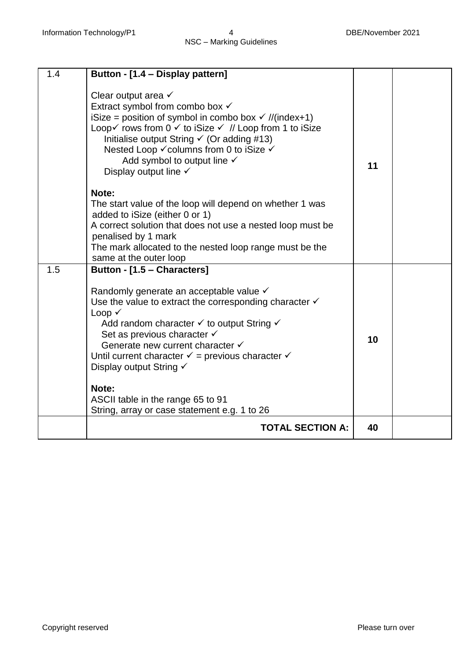| 1.4 | Button - [1.4 - Display pattern]                                                                                                                                                                                                                                                                                                                                                                                         |    |  |
|-----|--------------------------------------------------------------------------------------------------------------------------------------------------------------------------------------------------------------------------------------------------------------------------------------------------------------------------------------------------------------------------------------------------------------------------|----|--|
|     | Clear output area $\checkmark$<br>Extract symbol from combo box ✓<br>iSize = position of symbol in combo box $\checkmark$ //(index+1)<br>Loop√ rows from 0 $\checkmark$ to iSize $\checkmark$ // Loop from 1 to iSize<br>Initialise output String $\checkmark$ (Or adding #13)<br>Nested Loop V columns from 0 to iSize V<br>Add symbol to output line √<br>Display output line $\checkmark$                             | 11 |  |
|     | Note:<br>The start value of the loop will depend on whether 1 was<br>added to iSize (either 0 or 1)<br>A correct solution that does not use a nested loop must be<br>penalised by 1 mark<br>The mark allocated to the nested loop range must be the<br>same at the outer loop                                                                                                                                            |    |  |
| 1.5 | Button - [1.5 - Characters]<br>Randomly generate an acceptable value √<br>Use the value to extract the corresponding character $\checkmark$<br>Loop v<br>Add random character v to output String v<br>Set as previous character √<br>Generate new current character V<br>Until current character $\checkmark$ = previous character $\checkmark$<br>Display output String √<br>Note:<br>ASCII table in the range 65 to 91 | 10 |  |
|     | String, array or case statement e.g. 1 to 26<br><b>TOTAL SECTION A:</b>                                                                                                                                                                                                                                                                                                                                                  | 40 |  |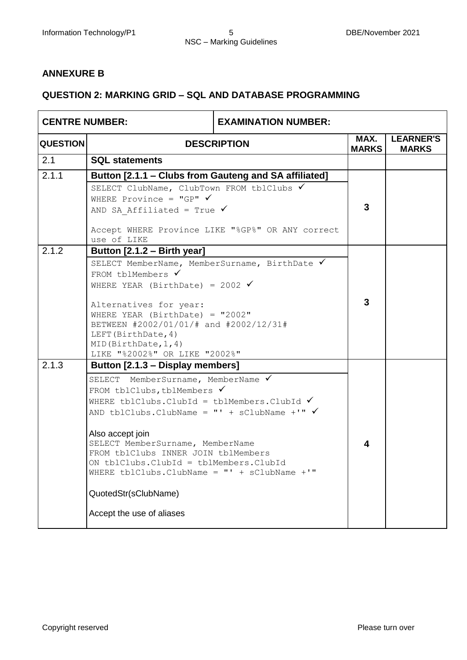#### **ANNEXURE B**

#### **QUESTION 2: MARKING GRID – SQL AND DATABASE PROGRAMMING**

| <b>CENTRE NUMBER:</b> |                                                                                                                                                                                                                                                                                                                                                                                                                                                                                             | <b>EXAMINATION NUMBER:</b> |                      |                                  |
|-----------------------|---------------------------------------------------------------------------------------------------------------------------------------------------------------------------------------------------------------------------------------------------------------------------------------------------------------------------------------------------------------------------------------------------------------------------------------------------------------------------------------------|----------------------------|----------------------|----------------------------------|
| <b>QUESTION</b>       | <b>DESCRIPTION</b>                                                                                                                                                                                                                                                                                                                                                                                                                                                                          |                            | MAX.<br><b>MARKS</b> | <b>LEARNER'S</b><br><b>MARKS</b> |
| 2.1                   | <b>SQL statements</b>                                                                                                                                                                                                                                                                                                                                                                                                                                                                       |                            |                      |                                  |
| 2.1.1                 | Button [2.1.1 - Clubs from Gauteng and SA affiliated]<br>SELECT ClubName, ClubTown FROM tblClubs √                                                                                                                                                                                                                                                                                                                                                                                          |                            |                      |                                  |
|                       | WHERE Province = "GP" $\checkmark$<br>AND SA Affiliated = True $\checkmark$                                                                                                                                                                                                                                                                                                                                                                                                                 |                            | 3                    |                                  |
|                       | Accept WHERE Province LIKE "%GP%" OR ANY correct<br>use of LIKE                                                                                                                                                                                                                                                                                                                                                                                                                             |                            |                      |                                  |
| 2.1.2                 | Button [2.1.2 - Birth year]<br>SELECT MemberName, MemberSurname, BirthDate V<br>FROM tblMembers $\checkmark$<br>WHERE YEAR (BirthDate) = 2002 $\checkmark$<br>Alternatives for year:                                                                                                                                                                                                                                                                                                        | 3                          |                      |                                  |
|                       | WHERE YEAR (BirthDate) = $"2002"$<br>BETWEEN #2002/01/01/# and #2002/12/31#<br>LEFT (BirthDate, 4)<br>MID(BirthDate, 1, 4)<br>LIKE "%2002%" OR LIKE "2002%"                                                                                                                                                                                                                                                                                                                                 |                            |                      |                                  |
| 2.1.3                 | Button [2.1.3 – Display members]<br>SELECT MemberSurname, MemberName V<br>FROM tblClubs, tblMembers $\checkmark$<br>WHERE tblClubs. ClubId = tblMembers. ClubId $\checkmark$<br>AND tblClubs. ClubName = "' + sClubName +'" $\checkmark$<br>Also accept join<br>SELECT MemberSurname, MemberName<br>FROM tblClubs INNER JOIN tblMembers<br>ON tblClubs.ClubId = tblMembers.ClubId<br>WHERE tblClubs. ClubName = $" ' + sClubName + '"$<br>QuotedStr(sClubName)<br>Accept the use of aliases |                            | 4                    |                                  |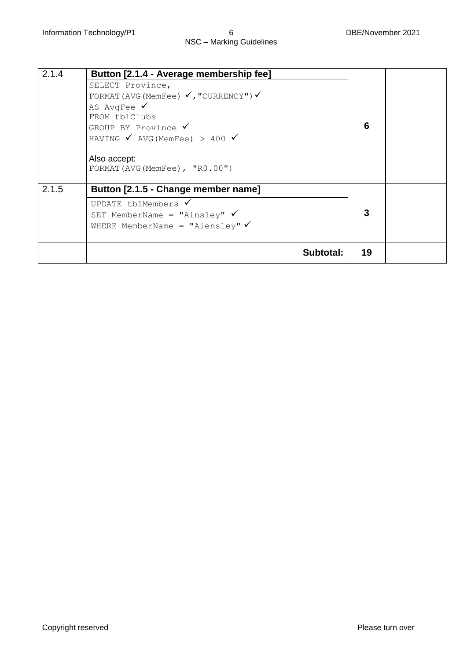| 2.1.4 | Button [2.1.4 - Average membership fee]<br>SELECT Province,<br>FORMAT (AVG (MemFee) $\checkmark$ , "CURRENCY") $\checkmark$<br>AS AvgFee $\checkmark$<br>FROM tblClubs<br>GROUP BY Province ✔<br>HAVING $\checkmark$ AVG (MemFee) > 400 $\checkmark$<br>Also accept:<br>FORMAT (AVG (MemFee), "R0.00") | 6  |  |
|-------|--------------------------------------------------------------------------------------------------------------------------------------------------------------------------------------------------------------------------------------------------------------------------------------------------------|----|--|
| 2.1.5 | Button [2.1.5 - Change member name]<br>UPDATE tblMembers $\checkmark$<br>SET MemberName = "Ainsley" $\checkmark$<br>WHERE MemberName = "Aiensley" $\checkmark$                                                                                                                                         | 3  |  |
|       | Subtotal:                                                                                                                                                                                                                                                                                              | 19 |  |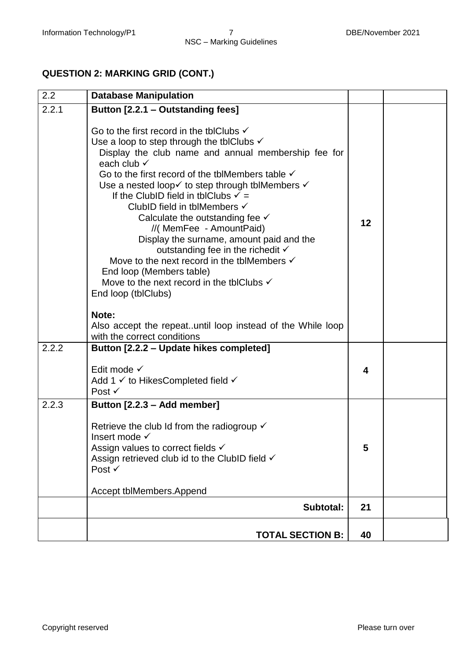### **QUESTION 2: MARKING GRID (CONT.)**

| 2.2   | <b>Database Manipulation</b>                                                                                                                                                                                                                                                                                                                                                                                                                                                                                                                                                                                                                                                                                                                                                                                                                                            |    |  |
|-------|-------------------------------------------------------------------------------------------------------------------------------------------------------------------------------------------------------------------------------------------------------------------------------------------------------------------------------------------------------------------------------------------------------------------------------------------------------------------------------------------------------------------------------------------------------------------------------------------------------------------------------------------------------------------------------------------------------------------------------------------------------------------------------------------------------------------------------------------------------------------------|----|--|
| 2.2.1 | Button [2.2.1 – Outstanding fees]                                                                                                                                                                                                                                                                                                                                                                                                                                                                                                                                                                                                                                                                                                                                                                                                                                       |    |  |
|       | Go to the first record in the tblClubs $\checkmark$<br>Use a loop to step through the tblClubs $\checkmark$<br>Display the club name and annual membership fee for<br>each club $\checkmark$<br>Go to the first record of the tblMembers table $\checkmark$<br>Use a nested loop $\checkmark$ to step through tblMembers $\checkmark$<br>If the ClubID field in tblClubs $\checkmark$ =<br>ClubID field in tblMembers √<br>Calculate the outstanding fee $\checkmark$<br>//(MemFee - AmountPaid)<br>Display the surname, amount paid and the<br>outstanding fee in the richedit $\checkmark$<br>Move to the next record in the tblMembers $\checkmark$<br>End loop (Members table)<br>Move to the next record in the tblClubs $\checkmark$<br>End loop (tblClubs)<br>Note:<br>Also accept the repeatuntil loop instead of the While loop<br>with the correct conditions | 12 |  |
| 2.2.2 | Button [2.2.2 - Update hikes completed]<br>Edit mode $\checkmark$<br>Add 1 √ to HikesCompleted field √<br>Post $\checkmark$                                                                                                                                                                                                                                                                                                                                                                                                                                                                                                                                                                                                                                                                                                                                             | 4  |  |
| 2.2.3 | Button [2.2.3 - Add member]<br>Retrieve the club Id from the radiogroup $\checkmark$<br>Insert mode √<br>Assign values to correct fields <del>V</del><br>Assign retrieved club id to the ClubID field √<br>Post $\checkmark$<br>Accept tblMembers.Append                                                                                                                                                                                                                                                                                                                                                                                                                                                                                                                                                                                                                | 5  |  |
|       | Subtotal:                                                                                                                                                                                                                                                                                                                                                                                                                                                                                                                                                                                                                                                                                                                                                                                                                                                               | 21 |  |
|       | <b>TOTAL SECTION B:</b>                                                                                                                                                                                                                                                                                                                                                                                                                                                                                                                                                                                                                                                                                                                                                                                                                                                 | 40 |  |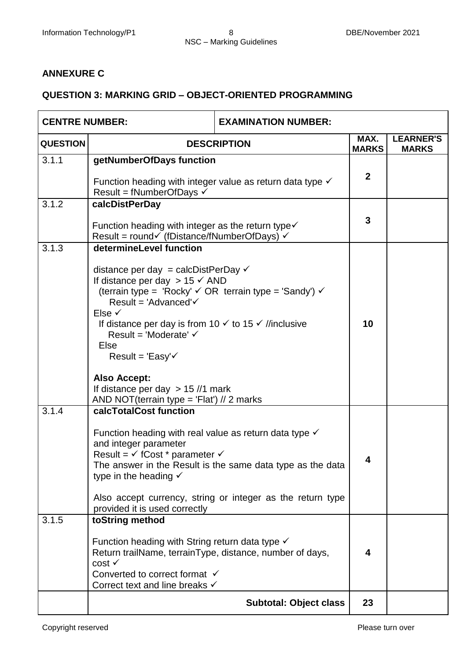#### **ANNEXURE C**

#### **QUESTION 3: MARKING GRID – OBJECT-ORIENTED PROGRAMMING**

| <b>CENTRE NUMBER:</b> |                                                                                                                                                                                                                                                                                                                                                                                                                                                                                                                                      | <b>EXAMINATION NUMBER:</b>                                                                                               |                      |                                  |
|-----------------------|--------------------------------------------------------------------------------------------------------------------------------------------------------------------------------------------------------------------------------------------------------------------------------------------------------------------------------------------------------------------------------------------------------------------------------------------------------------------------------------------------------------------------------------|--------------------------------------------------------------------------------------------------------------------------|----------------------|----------------------------------|
| <b>QUESTION</b>       | <b>DESCRIPTION</b>                                                                                                                                                                                                                                                                                                                                                                                                                                                                                                                   |                                                                                                                          | MAX.<br><b>MARKS</b> | <b>LEARNER'S</b><br><b>MARKS</b> |
| 3.1.1                 | getNumberOfDays function<br>Function heading with integer value as return data type $\checkmark$<br>Result = fNumberOfDays $\checkmark$                                                                                                                                                                                                                                                                                                                                                                                              |                                                                                                                          |                      |                                  |
| 3.1.2                 | calcDistPerDay<br>Function heading with integer as the return type $\checkmark$<br>Result = round√ (fDistance/fNumberOfDays) √                                                                                                                                                                                                                                                                                                                                                                                                       |                                                                                                                          |                      |                                  |
| 3.1.3                 | determineLevel function<br>distance per day = calcDistPerDay $\checkmark$<br>If distance per day $> 15 \checkmark$ AND<br>(terrain type = 'Rocky' $\checkmark$ OR terrain type = 'Sandy') $\checkmark$<br>Result = 'Advanced' $\checkmark$<br>Else $\checkmark$<br>If distance per day is from 10 $\checkmark$ to 15 $\checkmark$ //inclusive<br>Result = 'Moderate' $\checkmark$<br>Else<br>Result = 'Easy' $\checkmark$<br><b>Also Accept:</b><br>If distance per day $> 15$ //1 mark<br>AND NOT(terrain type = 'Flat') // 2 marks |                                                                                                                          | 10                   |                                  |
| 3.1.4<br>3.1.5        | calcTotalCost function<br>Function heading with real value as return data type $\checkmark$<br>and integer parameter<br>Result = $\checkmark$ fCost * parameter $\checkmark$<br>type in the heading $\checkmark$<br>provided it is used correctly<br>toString method                                                                                                                                                                                                                                                                 | The answer in the Result is the same data type as the data<br>Also accept currency, string or integer as the return type | 4                    |                                  |
|                       | Function heading with String return data type $\checkmark$<br>Return trailName, terrainType, distance, number of days,<br>$cost \checkmark$<br>Converted to correct format √<br>Correct text and line breaks √                                                                                                                                                                                                                                                                                                                       |                                                                                                                          |                      |                                  |
|                       |                                                                                                                                                                                                                                                                                                                                                                                                                                                                                                                                      | <b>Subtotal: Object class</b>                                                                                            | 23                   |                                  |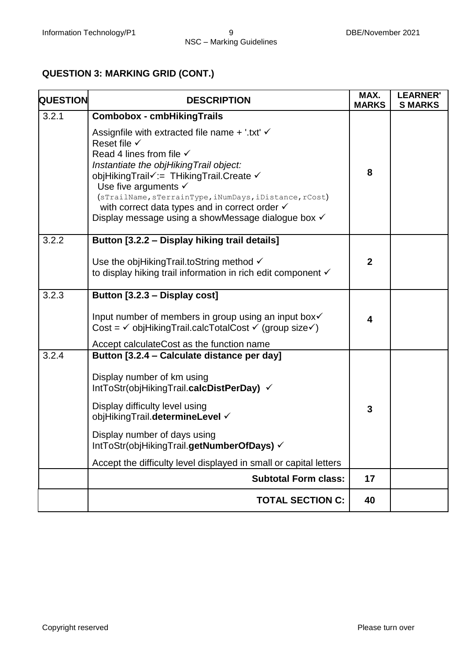#### **QUESTION 3: MARKING GRID (CONT.)**

| <b>QUESTION</b> | <b>DESCRIPTION</b>                                                                                                                                                                                                                                                                                                                                                                                                                 | MAX.<br><b>MARKS</b> | <b>LEARNER'</b><br><b>S MARKS</b> |
|-----------------|------------------------------------------------------------------------------------------------------------------------------------------------------------------------------------------------------------------------------------------------------------------------------------------------------------------------------------------------------------------------------------------------------------------------------------|----------------------|-----------------------------------|
| 3.2.1           | <b>Combobox - cmbHikingTrails</b>                                                                                                                                                                                                                                                                                                                                                                                                  |                      |                                   |
|                 | Assignfile with extracted file name $+$ '.txt' $\checkmark$<br>Reset file $\checkmark$<br>Read 4 lines from file $\checkmark$<br>Instantiate the objHikingTrail object:<br>objHikingTrail√:= THikingTrail.Create √<br>Use five arguments $\checkmark$<br>(sTrailName, sTerrainType, iNumDays, iDistance, rCost)<br>with correct data types and in correct order $\checkmark$<br>Display message using a showMessage dialogue box √ | 8                    |                                   |
| 3.2.2           | Button [3.2.2 - Display hiking trail details]                                                                                                                                                                                                                                                                                                                                                                                      |                      |                                   |
|                 | Use the objHikingTrail.toString method √<br>to display hiking trail information in rich edit component √                                                                                                                                                                                                                                                                                                                           | $\mathbf{2}$         |                                   |
| 3.2.3           | Button [3.2.3 - Display cost]                                                                                                                                                                                                                                                                                                                                                                                                      |                      |                                   |
|                 | Input number of members in group using an input box√<br>Cost = $\checkmark$ objHikingTrail.calcTotalCost $\checkmark$ (group size $\checkmark$ )<br>Accept calculateCost as the function name                                                                                                                                                                                                                                      | 4                    |                                   |
| 3.2.4           | Button [3.2.4 - Calculate distance per day]                                                                                                                                                                                                                                                                                                                                                                                        |                      |                                   |
|                 | Display number of km using<br>IntToStr(objHikingTrail.calcDistPerDay) $\checkmark$                                                                                                                                                                                                                                                                                                                                                 |                      |                                   |
|                 | Display difficulty level using<br>objHikingTrail.determineLevel √                                                                                                                                                                                                                                                                                                                                                                  | 3                    |                                   |
|                 | Display number of days using<br>IntToStr(objHikingTrail.getNumberOfDays) V                                                                                                                                                                                                                                                                                                                                                         |                      |                                   |
|                 | Accept the difficulty level displayed in small or capital letters                                                                                                                                                                                                                                                                                                                                                                  |                      |                                   |
|                 | <b>Subtotal Form class:</b>                                                                                                                                                                                                                                                                                                                                                                                                        | 17                   |                                   |
|                 | <b>TOTAL SECTION C:</b>                                                                                                                                                                                                                                                                                                                                                                                                            | 40                   |                                   |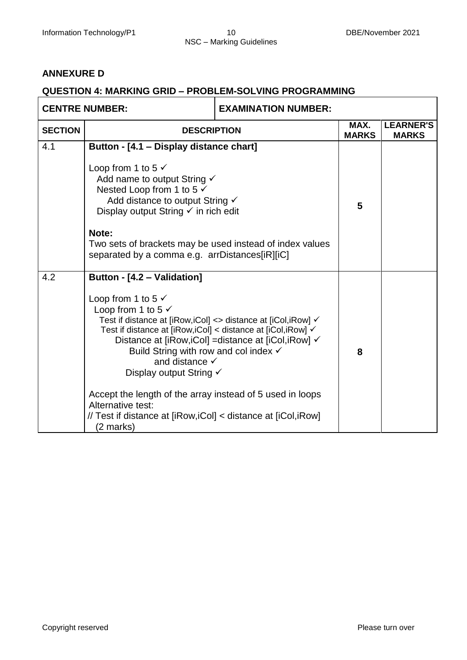#### **ANNEXURE D**

#### **QUESTION 4: MARKING GRID – PROBLEM-SOLVING PROGRAMMING**

| <b>CENTRE NUMBER:</b> |                                                                                                                                                                                                                                                                                                                                                                                                                                                                                                               | <b>EXAMINATION NUMBER:</b>                            |   |                                  |
|-----------------------|---------------------------------------------------------------------------------------------------------------------------------------------------------------------------------------------------------------------------------------------------------------------------------------------------------------------------------------------------------------------------------------------------------------------------------------------------------------------------------------------------------------|-------------------------------------------------------|---|----------------------------------|
| <b>SECTION</b>        | <b>DESCRIPTION</b>                                                                                                                                                                                                                                                                                                                                                                                                                                                                                            |                                                       |   | <b>LEARNER'S</b><br><b>MARKS</b> |
| 4.1                   | Button - [4.1 - Display distance chart]<br>Loop from 1 to 5 $\checkmark$<br>Add name to output String √<br>Nested Loop from 1 to 5 $\checkmark$<br>Add distance to output String √<br>Display output String $\checkmark$ in rich edit<br>Note:<br>Two sets of brackets may be used instead of index values<br>separated by a comma e.g. arrDistances[iR][iC]                                                                                                                                                  |                                                       | 5 |                                  |
| 4.2                   | Button - [4.2 - Validation]<br>Loop from 1 to 5 $\checkmark$<br>Loop from 1 to 5 $\checkmark$<br>Test if distance at [iRow, iCol] <> distance at [iCol, iRow] √<br>Test if distance at [iRow, iCol] < distance at [iCol, iRow] √<br>Build String with row and col index $\checkmark$<br>and distance $\checkmark$<br>Display output String √<br>Accept the length of the array instead of 5 used in loops<br>Alternative test:<br>// Test if distance at [iRow, iCol] < distance at [iCol, iRow]<br>(2 marks) | Distance at [iRow, iCol] = distance at [iCol, iRow] √ | 8 |                                  |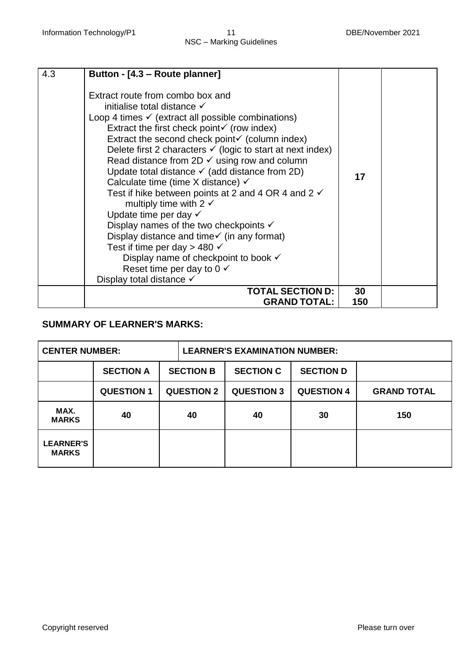| 4.3 | Button - [4.3 - Route planner]                                                                                                                                                                                                                                                                                                                                                                                                                                                                                                                                                                                                                                                                                                                                                                                                                                                                                                                    |           |  |
|-----|---------------------------------------------------------------------------------------------------------------------------------------------------------------------------------------------------------------------------------------------------------------------------------------------------------------------------------------------------------------------------------------------------------------------------------------------------------------------------------------------------------------------------------------------------------------------------------------------------------------------------------------------------------------------------------------------------------------------------------------------------------------------------------------------------------------------------------------------------------------------------------------------------------------------------------------------------|-----------|--|
|     | Extract route from combo box and<br>initialise total distance $\checkmark$<br>Loop 4 times $\checkmark$ (extract all possible combinations)<br>Extract the first check point $\checkmark$ (row index)<br>Extract the second check point $\checkmark$ (column index)<br>Delete first 2 characters $\checkmark$ (logic to start at next index)<br>Read distance from $2D \checkmark$ using row and column<br>Update total distance $\checkmark$ (add distance from 2D)<br>Calculate time (time X distance) $\checkmark$<br>Test if hike between points at 2 and 4 OR 4 and 2 $\checkmark$<br>multiply time with 2 $\checkmark$<br>Update time per day $\checkmark$<br>Display names of the two checkpoints $\checkmark$<br>Display distance and time $\checkmark$ (in any format)<br>Test if time per day > 480 $\checkmark$<br>Display name of checkpoint to book √<br>Reset time per day to $0 \checkmark$<br>Display total distance $\checkmark$ | 17        |  |
|     | <b>TOTAL SECTION D:</b><br><b>GRAND TOTAL:</b>                                                                                                                                                                                                                                                                                                                                                                                                                                                                                                                                                                                                                                                                                                                                                                                                                                                                                                    | 30<br>150 |  |

#### **SUMMARY OF LEARNER'S MARKS:**

| <b>CENTER NUMBER:</b>            |                   |  |                   | <b>LEARNER'S EXAMINATION NUMBER:</b> |                   |                    |
|----------------------------------|-------------------|--|-------------------|--------------------------------------|-------------------|--------------------|
|                                  | <b>SECTION A</b>  |  | <b>SECTION B</b>  | <b>SECTION C</b>                     | <b>SECTION D</b>  |                    |
|                                  | <b>QUESTION 1</b> |  | <b>QUESTION 2</b> | <b>QUESTION 3</b>                    | <b>QUESTION 4</b> | <b>GRAND TOTAL</b> |
| MAX.<br><b>MARKS</b>             | 40                |  | 40                | 40                                   | 30                | 150                |
| <b>LEARNER'S</b><br><b>MARKS</b> |                   |  |                   |                                      |                   |                    |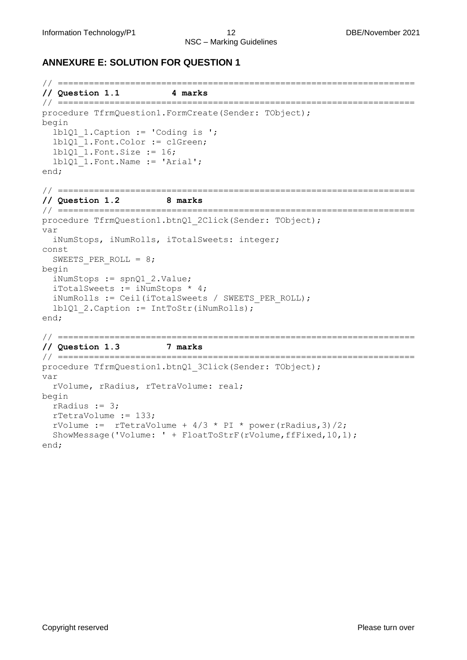#### **ANNEXURE E: SOLUTION FOR QUESTION 1**

```
// =====================================================================
// Question 1.1 4 marks 
// =====================================================================
procedure TfrmQuestion1.FormCreate(Sender: TObject); 
begin
   lblQ1_1.Caption := 'Coding is '; 
  lblQ1 1.Font.Color := clGreen;
  lblQ1 1.Font.Size := 16; lblQ1_1.Font.Name := 'Arial';
end;
// =====================================================================
// Question 1.2 8 marks 
// =====================================================================
procedure TfrmQuestion1.btnQ1_2Click(Sender: TObject); 
var
   iNumStops, iNumRolls, iTotalSweets: integer; 
const
  SWEETS PER ROLL = 8;begin
  iNumStops := spnQ1_2.Value; 
  iTotalSweets := iNumStops * 4;
   iNumRolls := Ceil(iTotalSweets / SWEETS_PER_ROLL); 
   lblQ1_2.Caption := IntToStr(iNumRolls); 
end;
// =====================================================================
// Question 1.3 7 marks 
// =====================================================================
procedure TfrmQuestion1.btnQ1 3Click(Sender: TObject);
var
  rVolume, rRadius, rTetraVolume: real;
begin
  rRadius := 3;
  rTetraVolume := 133;
 rVolume := rTetraVolume + 4/3 * PI * power(rRadius, 3)/2;
   ShowMessage('Volume: ' + FloatToStrF(rVolume,ffFixed,10,1);
```
end;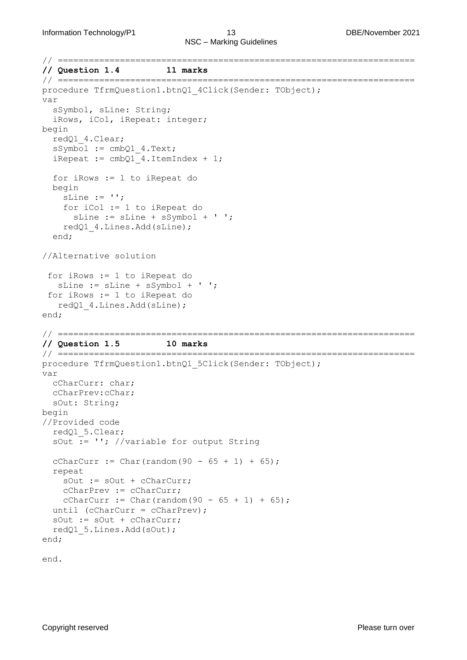```
// =====================================================================
// Question 1.4 11 marks 
// =====================================================================
procedure TfrmQuestion1.btnQ1 4Click(Sender: TObject);
var
   sSymbol, sLine: String;
   iRows, iCol, iRepeat: integer;
begin
   redQ1_4.Clear; 
   sSymbol := cmbQ1_4.Text; 
  iRepeat := cmbQ1 4.ItemIndex + 1;
   for iRows := 1 to iRepeat do 
   begin
    sLine := ';
     for iCol := 1 to iRepeat do 
       sLine := sLine + sSymbol + ' '; 
     redQ1_4.Lines.Add(sLine); 
   end;
//Alternative solution
 for iRows := 1 to iRepeat do
    sLine := sLine + sSymbol + ' ';
 for iRows := 1 to iRepeat do
    redQ1_4.Lines.Add(sLine);
end;
// =====================================================================
// Question 1.5 10 marks 
// =====================================================================
procedure TfrmQuestion1.btnQ1 5Click(Sender: TObject);
var
   cCharCurr: char;
   cCharPrev:cChar;
  sOut: String;
begin
//Provided code
   redQ1_5.Clear;
   sOut := ''; //variable for output String
  cCharCurr := Char(random(90 - 65 + 1) + 65);
   repeat
     sOut := sOut + cCharCurr; 
     cCharPrev := cCharCurr; 
    cCharCurr := Char(random(90 - 65 + 1) + 65);
  until (cCharCurr = cCharPrev);
   sOut := sOut + cCharCurr;
   redQ1_5.Lines.Add(sOut); 
end;
```
end.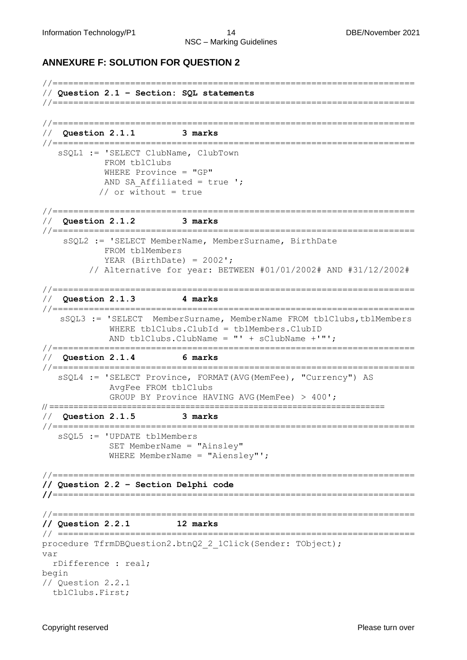#### **ANNEXURE F: SOLUTION FOR QUESTION 2**

```
//======================================================================
// Question 2.1 – Section: SQL statements
//======================================================================
//======================================================================
// Question 2.1.1 3 marks 
//======================================================================
    sSQL1 := 'SELECT ClubName, ClubTown 
             FROM tblClubs
             WHERE Province = "GP" 
            AND SA Affiliated = true ';
           // or without = true
//======================================================================
// Question 2.1.2 3 marks 
//======================================================================
     sSQL2 := 'SELECT MemberName, MemberSurname, BirthDate 
             FROM tblMembers 
            YEAR (BirthDate) = 2002';
          // Alternative for year: BETWEEN #01/01/2002# AND #31/12/2002#
//======================================================================
// Question 2.1.3 4 marks 
//======================================================================
    sSQL3 := 'SELECT MemberSurname, MemberName FROM tblClubs,tblMembers 
              WHERE tblClubs.ClubId = tblMembers.ClubID
             AND tblClubs.ClubName = "' + sClubName +'"'; 
//======================================================================
// Question 2.1.4 6 marks 
//======================================================================
    sSQL4 := 'SELECT Province, FORMAT(AVG(MemFee), "Currency") AS 
              AvgFee FROM tblClubs 
              GROUP BY Province HAVING AVG(MemFee) > 400';
// =====================================================================
// Question 2.1.5 3 marks 
//======================================================================
    sSQL5 := 'UPDATE tblMembers 
              SET MemberName = "Ainsley" 
              WHERE MemberName = "Aiensley"';
//======================================================================
// Question 2.2 – Section Delphi code 
//======================================================================
//======================================================================
// Question 2.2.1 12 marks 
// =====================================================================
procedure TfrmDBQuestion2.btnQ2 2_1Click(Sender: TObject);
var 
   rDifference : real;
begin
// Question 2.2.1
   tblClubs.First;
```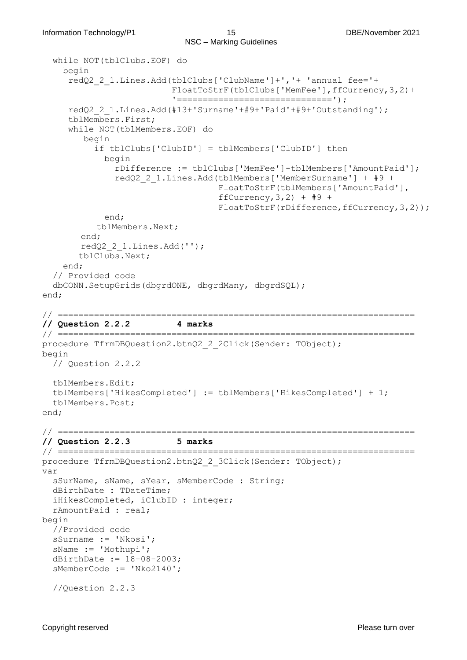```
 while NOT(tblClubs.EOF) do
     begin
      redQ2_2_1.Lines.Add(tblClubs['ClubName']+','+ 'annual fee='+
                           FloatToStrF(tblClubs['MemFee'],ffCurrency,3,2)+
                           '==============================');
      redQ2_2_1.Lines.Add(#13+'Surname'+#9+'Paid'+#9+'Outstanding');
      tblMembers.First;
      while NOT(tblMembers.EOF) do
         begin
           if tblClubs['ClubID'] = tblMembers['ClubID'] then
             begin
               rDifference := tblClubs['MemFee']-tblMembers['AmountPaid'];
               redQ2_2_1.Lines.Add(tblMembers['MemberSurname'] + #9 +
                                    FloatToStrF(tblMembers['AmountPaid'], 
                                   ffCurrency, 3, 2) + #9 +
                                   FloatToStrF(rDifference,ffCurrency, 3, 2));
             end;
            tblMembers.Next;
         end;
        redQ2_2_1.Lines.Add('');
        tblClubs.Next;
     end;
   // Provided code
   dbCONN.SetupGrids(dbgrdONE, dbgrdMany, dbgrdSQL);
end;
// =====================================================================
// Question 2.2.2 4 marks 
// =====================================================================
procedure TfrmDBQuestion2.btnQ2_2_2Click(Sender: TObject);
begin 
   // Question 2.2.2
   tblMembers.Edit;
   tblMembers['HikesCompleted'] := tblMembers['HikesCompleted'] + 1;
   tblMembers.Post;
end;
// =====================================================================
// Question 2.2.3 5 marks 
// =====================================================================
procedure TfrmDBQuestion2.btnQ2_2_3Click(Sender: TObject);
var
   sSurName, sName, sYear, sMemberCode : String;
   dBirthDate : TDateTime;
   iHikesCompleted, iClubID : integer;
   rAmountPaid : real;
begin
   //Provided code
   sSurname := 'Nkosi';
   sName := 'Mothupi';
   dBirthDate := 18-08-2003;
   sMemberCode := 'Nko2140';
   //Question 2.2.3
```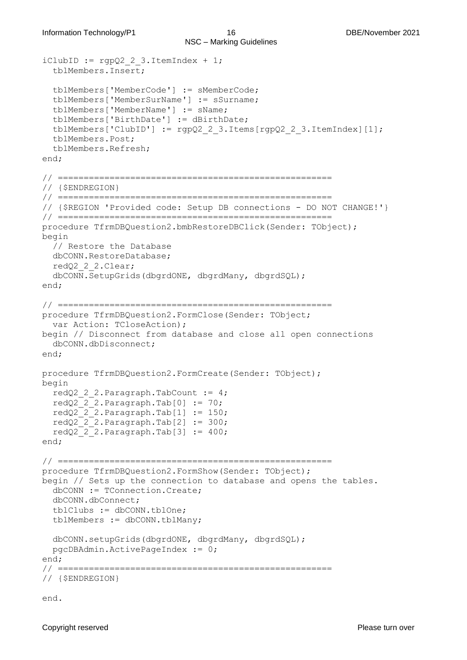```
iClubID := rqpQ2 2 3.ItemIndex + 1;
   tblMembers.Insert;
   tblMembers['MemberCode'] := sMemberCode;
   tblMembers['MemberSurName'] := sSurname;
   tblMembers['MemberName'] := sName;
   tblMembers['BirthDate'] := dBirthDate;
   tblMembers['ClubID'] := rgpQ2_2_3.Items[rgpQ2_2_3.ItemIndex][1];
   tblMembers.Post;
   tblMembers.Refresh;
end;
// =====================================================
// {$ENDREGION}
// =====================================================
// {$REGION 'Provided code: Setup DB connections - DO NOT CHANGE!'}
// =====================================================
procedure TfrmDBQuestion2.bmbRestoreDBClick(Sender: TObject);
begin
   // Restore the Database
  dbCONN.RestoreDatabase;
   redQ2_2_2.Clear;
   dbCONN.SetupGrids(dbgrdONE, dbgrdMany, dbgrdSQL);
end;
// =====================================================
procedure TfrmDBQuestion2.FormClose(Sender: TObject;
   var Action: TCloseAction);
begin // Disconnect from database and close all open connections
   dbCONN.dbDisconnect;
end;
procedure TfrmDBQuestion2.FormCreate(Sender: TObject);
begin
   redQ2_2_2.Paragraph.TabCount := 4;
  redQ2 2 2.Paragraph.Tab[0] := 70;
   redQ2_2_2.Paragraph.Tab[1] := 150;
  redQ222.Paragraph.Tab[2] := 300;
  redQ222.Paragraph.Tab[3] := 400;
end;
// =====================================================
procedure TfrmDBQuestion2.FormShow(Sender: TObject);
begin // Sets up the connection to database and opens the tables.
   dbCONN := TConnection.Create;
  dbCONN.dbConnect;
   tblClubs := dbCONN.tblOne;
   tblMembers := dbCONN.tblMany;
   dbCONN.setupGrids(dbgrdONE, dbgrdMany, dbgrdSQL);
   pgcDBAdmin.ActivePageIndex := 0;
end;
// =====================================================
// {$ENDREGION}
```
end.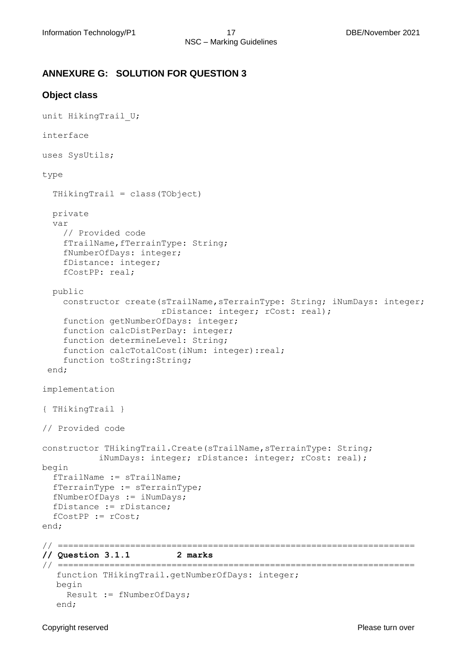#### **ANNEXURE G: SOLUTION FOR QUESTION 3**

#### **Object class**

```
unit HikingTrail U;
interface
uses SysUtils;
type
   THikingTrail = class(TObject)
   private
   var
     // Provided code
    fTrailName, fTerrainType: String;
     fNumberOfDays: integer;
     fDistance: integer;
     fCostPP: real;
   public
     constructor create(sTrailName,sTerrainType: String; iNumDays: integer; 
                        rDistance: integer; rCost: real);
     function getNumberOfDays: integer;
     function calcDistPerDay: integer;
     function determineLevel: String;
    function calcTotalCost(iNum: integer):real;
    function toString: String;
 end;
implementation
{ THikingTrail }
// Provided code
constructor THikingTrail.Create(sTrailName, sTerrainType: String;
           iNumDays: integer; rDistance: integer; rCost: real);
begin
   fTrailName := sTrailName;
   fTerrainType := sTerrainType;
   fNumberOfDays := iNumDays;
   fDistance := rDistance;
   fCostPP := rCost;
end;
// =====================================================================
// Question 3.1.1 2 marks 
// =====================================================================
  function THikingTrail.getNumberOfDays: integer;
  begin
     Result := fNumberOfDays;
  end;
```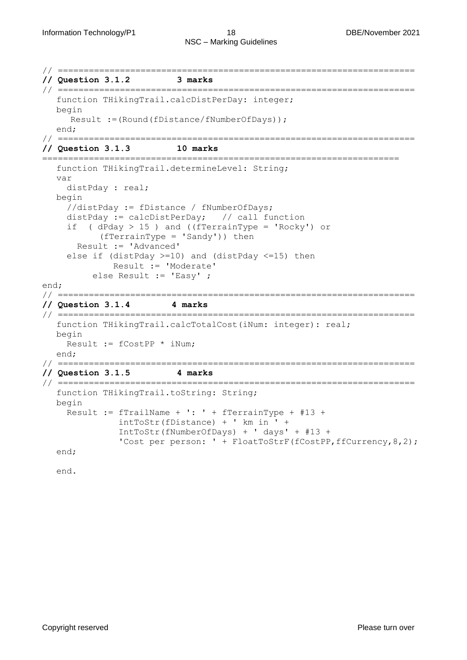// ===================================================================== **// Question 3.1.2 3 marks**  // ===================================================================== function THikingTrail.calcDistPerDay: integer; begin Result :=(Round(fDistance/fNumberOfDays)); end; // ===================================================================== **// Question 3.1.3 10 marks**  ===================================================================== function THikingTrail.determineLevel: String; var distPday : real; begin //distPday := fDistance / fNumberOfDays; distPday := calcDistPerDay; // call function if ( dPday > 15 ) and ((fTerrainType = 'Rocky') or (fTerrainType = 'Sandy')) then Result := 'Advanced' else if (distPday >=10) and (distPday <=15) then Result := 'Moderate' else Result := 'Easy' ; end; // ===================================================================== **// Question 3.1.4 4 marks**  // ===================================================================== function THikingTrail.calcTotalCost(iNum: integer): real; begin Result := fCostPP \* iNum; end; // ===================================================================== **// Question 3.1.5 4 marks**  // ===================================================================== function THikingTrail.toString: String; begin Result := fTrailName + ': ' + fTerrainType + #13 + intToStr(fDistance) + ' km in ' + IntToStr(fNumberOfDays) + ' days' + #13 + 'Cost per person: ' + FloatToStrF(fCostPP, ffCurrency, 8, 2); end; end.

Copyright reserved **Please turn over the Copyright reserved** Please turn over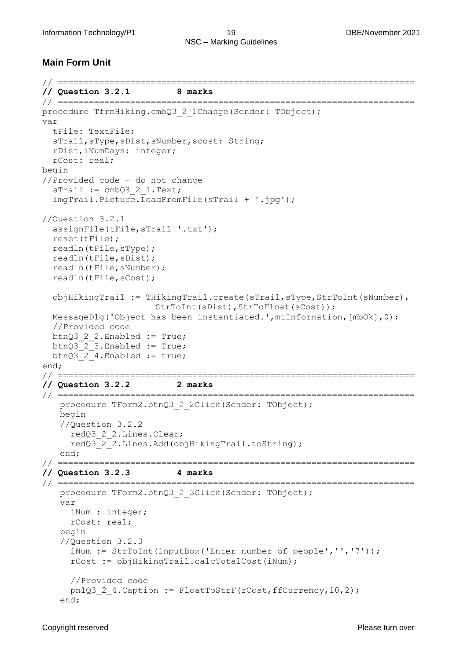#### **Main Form Unit**

```
// =====================================================================
// Question 3.2.1 8 marks 
// =====================================================================
procedure TfrmHiking.cmbQ3 2 1Change(Sender: TObject);
var
   tFile: TextFile;
   sTrail,sType,sDist,sNumber,scost: String;
  rDist,iNumDays: integer;
  rCost: real;
begin
//Provided code - do not change
  srraid := cmbQ3 2 1.Text; imgTrail.Picture.LoadFromFile(sTrail + '.jpg');
//Question 3.2.1
   assignFile(tFile,sTrail+'.txt');
   reset(tFile);
  readln(tFile,sType);
   readln(tFile,sDist);
   readln(tFile,sNumber);
  readln(tFile,sCost);
  objHikingTrail := THikingTrail.create(sTrail,sType,StrToInt(sNumber),
                     StrToInt(sDist),StrToFloat(sCost));
  MessageDlg('Object has been instantiated.',mtInformation,[mbOk],0);
   //Provided code
  btnQ3_2_2.Enabled := True;
  btnQ3_2_3.Enabled := True;
 btnQ3 2 4.Enabled := true;
end;
// =====================================================================
// Question 3.2.2 2 marks 
// =====================================================================
   procedure TForm2.btnQ3 2 2Click(Sender: TObject);
   begin
   //Question 3.2.2
      redQ3_2_2.Lines.Clear;
     redQ3 2 2.Lines.Add(objHikingTrail.toString);
   end;
// =====================================================================
// Question 3.2.3 4 marks 
// =====================================================================
   procedure TForm2.btnQ3 2 3Click(Sender: TObject);
   var
     iNum : integer;
     rCost: real;
   begin
   //Question 3.2.3
      iNum := StrToInt(InputBox('Enter number of people','','7'));
     rCost := objHikingTrail.calcTotalCost(iNum);
     //Provided code
     pnlQ3 2 4.Caption := FloatToStrF(rCost,ffCurrency,10,2);
   end;
```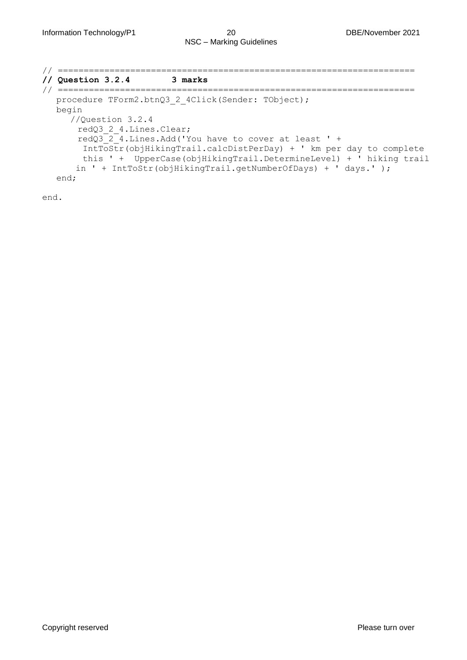```
// =====================================================================
// Question 3.2.4 3 marks 
// =====================================================================
  procedure TForm2.btnQ3 2 4Click(Sender: TObject);
  begin
      //Question 3.2.4
      redQ3 2 4.Lines.Clear;
      redQ3_2_4.Lines.Add('You have to cover at least ' + 
       IntToStr(objHikingTrail.calcDistPerDay) + ' km per day to complete 
       this ' + UpperCase(objHikingTrail.DetermineLevel) + ' hiking trail 
      in ' + IntToStr(objHikingTrail.getNumberOfDays) + ' days.' );
  end;
```
end.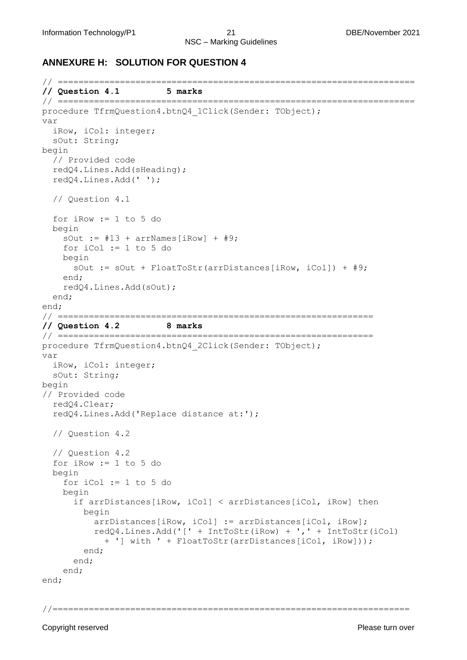#### **ANNEXURE H: SOLUTION FOR QUESTION 4**

```
// =====================================================================
// Question 4.1 5 marks 
// =====================================================================
procedure TfrmQuestion4.btnQ4 1Click(Sender: TObject);
var
   iRow, iCol: integer;
   sOut: String;
begin
   // Provided code
   redQ4.Lines.Add(sHeading);
   redQ4.Lines.Add(' ');
   // Question 4.1
   for iRow := 1 to 5 do 
   begin
    sOut := #13 + arrNames[iRow] + #9;
     for iCol := 1 to 5 do 
     begin
       sOut := sOut + FloatToStr(arrDistances[iRow, iCol]) + #9; 
     end;
     redQ4.Lines.Add(sOut); 
   end;
end;
// =============================================================
// Question 4.2 8 marks 
// =============================================================
procedure TfrmQuestion4.btnQ4_2Click(Sender: TObject);
var
   iRow, iCol: integer;
   sOut: String;
begin
// Provided code
   redQ4.Clear;
   redQ4.Lines.Add('Replace distance at:');
   // Question 4.2
   // Question 4.2
   for iRow := 1 to 5 do
   begin
     for iCol := 1 to 5 do
     begin
       if arrDistances[iRow, iCol] < arrDistances[iCol, iRow] then
         begin
           arrDistances[iRow, iCol] := arrDistances[iCol, iRow];
           redQ4.Lines.Add('[' + IntToStr(iRow) + ',' + IntToStr(iCol)
             + '] with ' + FloatToStr(arrDistances[iCol, iRow]));
         end;
       end;
     end;
end;
```
//=====================================================================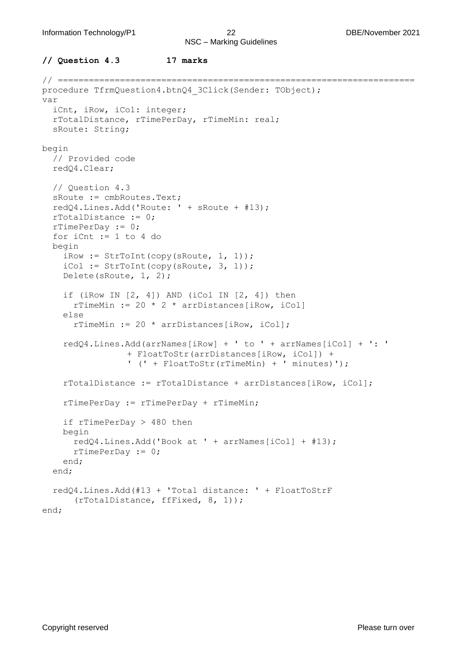```
// Question 4.3 17 marks
```

```
// =====================================================================
procedure TfrmQuestion4.btnQ4 3Click(Sender: TObject);
var
   iCnt, iRow, iCol: integer;
   rTotalDistance, rTimePerDay, rTimeMin: real;
   sRoute: String;
begin
   // Provided code
   redQ4.Clear;
   // Question 4.3
   sRoute := cmbRoutes.Text;
   redQ4.Lines.Add('Route: ' + sRoute + #13);
   rTotalDistance := 0;
  rrimePerDay := 0; for iCnt := 1 to 4 do
   begin
    iRow := StrToInt(copy(sRoute, 1, 1));
    iCol := StrToInt(copy(sRoute, 3, 1));
     Delete(sRoute, 1, 2);
    if (iRow IN [2, 4]) AND (iCol IN [2, 4]) then
      rTimeMin := 20 * 2 * arrDistances[iRow, iCol]
     else
       rTimeMin := 20 * arrDistances[iRow, iCol];
     redQ4.Lines.Add(arrNames[iRow] + ' to ' + arrNames[iCol] + ': '
                 + FloatToStr(arrDistances[iRow, iCol]) + 
                 ' (' + FloatToStr(rTimeMin) + ' minutes)');
     rTotalDistance := rTotalDistance + arrDistances[iRow, iCol];
     rTimePerDay := rTimePerDay + rTimeMin;
     if rTimePerDay > 480 then
     begin
       redQ4.Lines.Add('Book at ' + arrNames[iCol] + #13);
       rTimePerDay := 0;
     end;
   end;
   redQ4.Lines.Add(#13 + 'Total distance: ' + FloatToStrF
      (rTotalDistance, ffFixed, 8, 1));
end;
```